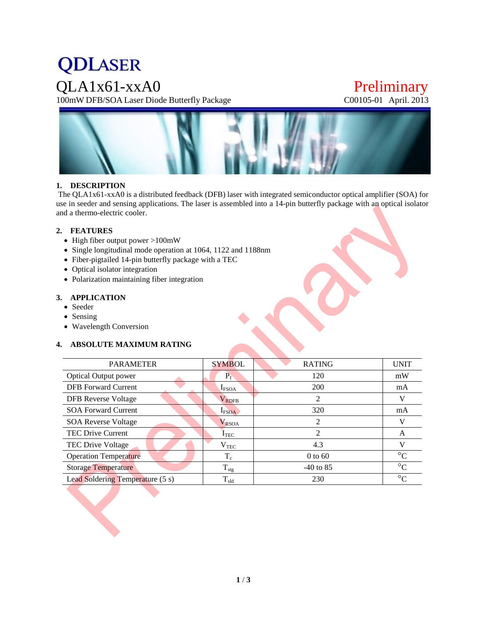# **QDLASER**

QLA1x61-xxA0 Preliminary<br>100mW DFB/SOA Laser Diode Butterfly Package C00105-01 April. 2013 100mW DFB/SOA Laser Diode Butterfly Package



# **1. DESCRIPTION**

The QLA1x61-xxA0 is a distributed feedback (DFB) laser with integrated semiconductor optical amplifier (SOA) for use in seeder and sensing applications. The laser is assembled into a 14-pin butterfly package with an optical isolator and a thermo-electric cooler.

## **2. FEATURES**

- High fiber output power >100mW
- Single longitudinal mode operation at 1064, 1122 and 1188nm
- Fiber-pigtailed 14-pin butterfly package with a TEC
- Optical isolator integration
- Polarization maintaining fiber integration

# **3. APPLICATION**

- Seeder
- Sensing
- Wavelength Conversion

## **4. ABSOLUTE MAXIMUM RATING**

| <b>PARAMETER</b>                 | <b>SYMBOL</b>      | <b>RATING</b>               | <b>UNIT</b>     |
|----------------------------------|--------------------|-----------------------------|-----------------|
| <b>Optical Output power</b>      | $P_f$              | 120                         | mW              |
| <b>DFB</b> Forward Current       | $I_{\text{FSOA}}$  | 200                         | mA              |
| <b>DFB</b> Reverse Voltage       | $\rm V_{\rm RDFB}$ | 2                           | V               |
| <b>SOA Forward Current</b>       | $I_{\text{FSOA}}$  | 320                         | mA              |
| <b>SOA Reverse Voltage</b>       | $V_{RSOA}$         | 2                           | V               |
| <b>TEC Drive Current</b>         | $I_{TEC}$          | $\mathcal{D}_{\mathcal{L}}$ | A               |
| TEC Drive Voltage                | $\rm V_{TEC}$      | 4.3                         | V               |
| <b>Operation Temperature</b>     | $T_c$              | $0$ to 60                   | $\rm ^{\circ}C$ |
| <b>Storage Temperature</b>       | $T_{\rm stg}$      | $-40$ to 85                 | $\rm ^{\circ}C$ |
| Lead Soldering Temperature (5 s) | $T_{\rm sld}$      | 230                         | $^{\circ}C$     |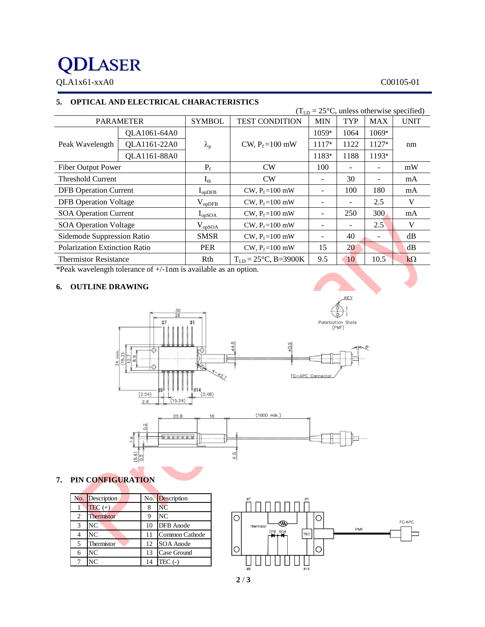# **QDLASER**

QLA1x61-xxA0 C00105-01

# **5. OPTICAL AND ELECTRICAL CHARACTERISTICS**

| $(TLD = 25oC, unless otherwise specified)$ |              |                   |                                  |                          |      |               |             |
|--------------------------------------------|--------------|-------------------|----------------------------------|--------------------------|------|---------------|-------------|
| <b>PARAMETER</b>                           |              | <b>SYMBOL</b>     | <b>TEST CONDITION</b>            | <b>MIN</b>               | TYP  | <b>MAX</b>    | <b>UNIT</b> |
|                                            | QLA1061-64A0 |                   |                                  | $1059*$                  | 1064 | $1069*$       | nm          |
| Peak Wavelength                            | QLA1161-22A0 | $\lambda_{\rm p}$ | CW, $P_f = 100$ mW               | $1117*$                  | 1122 | $1127*$       |             |
|                                            | QLA1161-88A0 |                   |                                  | 1183*                    | 1188 | $1193*$       |             |
| <b>Fiber Output Power</b>                  |              | $P_f$             | <b>CW</b>                        | 100                      |      | -             | mW          |
| <b>Threshold Current</b>                   |              | $I_{th}$          | <b>CW</b>                        | -                        | 30   | -             | mA          |
| <b>DFB</b> Operation Current               |              | $I_{op$           | CW, $P_f = 100$ mW               |                          | 100  | 180           | mA          |
| <b>DFB</b> Operation Voltage               |              | $V_{opDFB}$       | $CW, P_f = 100$ mW               | -                        |      | 2.5           | V           |
| <b>SOA Operation Current</b>               |              | $I_{opSOA}$       | CW, $P_f = 100$ mW               |                          | 250  | 300           | mA          |
| <b>SOA Operation Voltage</b>               |              | $\rm V_{opSOA}$   | $CW, P_f = 100$ mW               | -                        |      | $2.5^{\circ}$ | V           |
| Sidemode Suppression Ratio                 |              | <b>SMSR</b>       | CW, $P_f = 100$ mW               | $\overline{\phantom{a}}$ | 40   | ۰             | dB          |
| <b>Polarization Extinction Ratio</b>       |              | <b>PER</b>        | $CW, P_f = 100$ mW               | 15                       | 20   |               | dB          |
| <b>Thermistor Resistance</b>               |              | Rth               | $T_{LD} = 25^{\circ}C$ , B=3900K | 9.5                      | 10   | 10.5          | $k\Omega$   |

\*Peak wavelength tolerance of +/-1nm is available as an option.

# **6. OUTLINE DRAWING**





# **7. PIN CONFIGURATION**

|   | No. Description   |    | No. Description  |
|---|-------------------|----|------------------|
|   | $TEC (+)$         | 8  | <b>NC</b>        |
| 2 | <b>Thermistor</b> | 9  | N <sub>C</sub>   |
| 3 | NC                | 10 | <b>DFB</b> Anode |
|   | N <sub>C</sub>    | 11 | Common Cathode   |
| 5 | Thermistor        | 12 | SOA Anode        |
| 6 | NC                | 13 | Case Ground      |
|   | NC.               | 14 | $TEC$ (-)        |



**KFY**